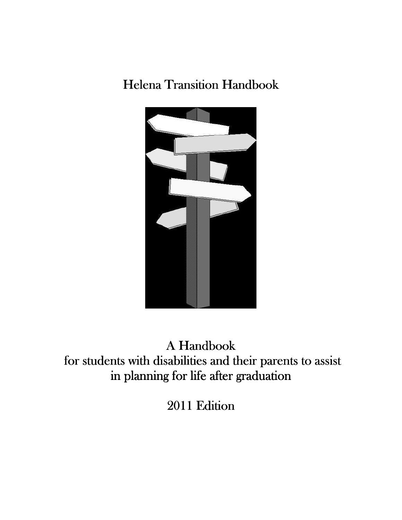# Helena Transition Handbook



A Handbook for students with disabilities and their parents to assist in planning for life after graduation

2011 Edition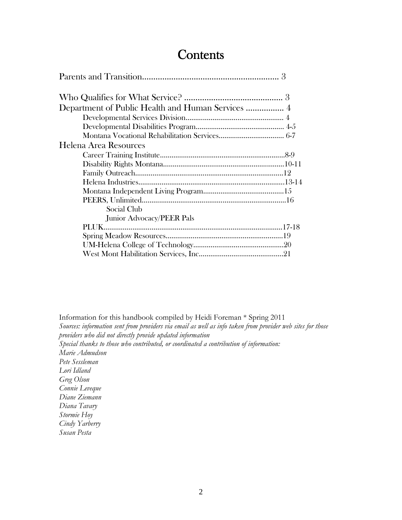# **Contents**

| Department of Public Health and Human Services  4 |  |
|---------------------------------------------------|--|
|                                                   |  |
|                                                   |  |
|                                                   |  |
| Helena Area Resources                             |  |
|                                                   |  |
|                                                   |  |
|                                                   |  |
|                                                   |  |
|                                                   |  |
|                                                   |  |
| Social Club                                       |  |
| Junior Advocacy/PEER Pals                         |  |
|                                                   |  |
|                                                   |  |
|                                                   |  |
|                                                   |  |

Information for this handbook compiled by Heidi Foreman \* Spring 2011 *Sources: information sent from providers via email as well as info taken from provider web sites for those providers who did not directly provide updated information Special thanks to those who contributed, or coordinated a contribution of information: Marie Admudson Pete Sessleman Lori Idland Greg Olson Connie Leveque Diane Ziemann Diana Tavary Stormie Hoy Cindy Yarberry Susan Pesta*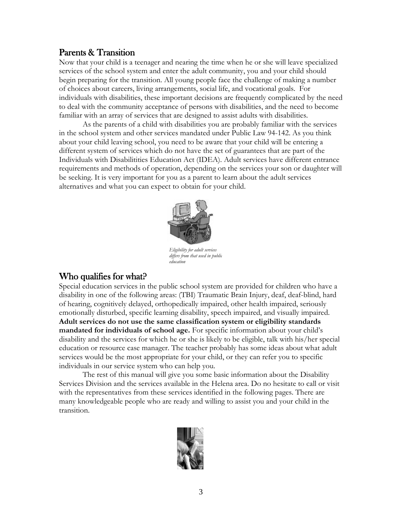# Parents & Transition

Now that your child is a teenager and nearing the time when he or she will leave specialized services of the school system and enter the adult community, you and your child should begin preparing for the transition. All young people face the challenge of making a number of choices about careers, living arrangements, social life, and vocational goals. For individuals with disabilities, these important decisions are frequently complicated by the need to deal with the community acceptance of persons with disabilities, and the need to become familiar with an array of services that are designed to assist adults with disabilities.

 As the parents of a child with disabilities you are probably familiar with the services in the school system and other services mandated under Public Law 94-142. As you think about your child leaving school, you need to be aware that your child will be entering a different system of services which do not have the set of guarantees that are part of the Individuals with Disabilitities Education Act (IDEA). Adult services have different entrance requirements and methods of operation, depending on the services your son or daughter will be seeking. It is very important for you as a parent to learn about the adult services alternatives and what you can expect to obtain for your child.



*Eligibility for adult services differs from that used in public education* 

# Who qualifies for what?

Special education services in the public school system are provided for children who have a disability in one of the following areas: (TBI) Traumatic Brain Injury, deaf, deaf-blind, hard of hearing, cognitively delayed, orthopedically impaired, other health impaired, seriously emotionally disturbed, specific learning disability, speech impaired, and visually impaired. **Adult services do not use the same classification system or eligibility standards mandated for individuals of school age.** For specific information about your child's disability and the services for which he or she is likely to be eligible, talk with his/her special education or resource case manager. The teacher probably has some ideas about what adult services would be the most appropriate for your child, or they can refer you to specific individuals in our service system who can help you.

 The rest of this manual will give you some basic information about the Disability Services Division and the services available in the Helena area. Do no hesitate to call or visit with the representatives from these services identified in the following pages. There are many knowledgeable people who are ready and willing to assist you and your child in the transition.

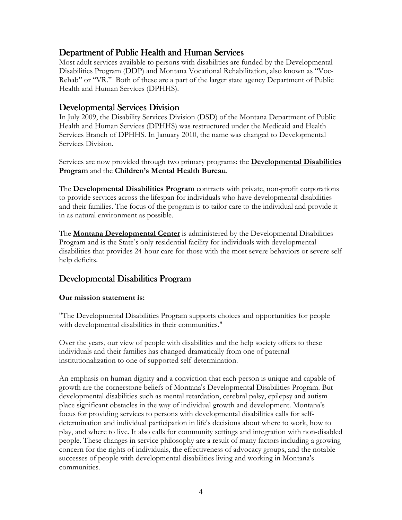# Department of Public Health and Human Services

Most adult services available to persons with disabilities are funded by the Developmental Disabilities Program (DDP) and Montana Vocational Rehabilitation, also known as "Voc-Rehab" or "VR." Both of these are a part of the larger state agency Department of Public Health and Human Services (DPHHS).

## Developmental Services Division

In July 2009, the Disability Services Division (DSD) of the Montana Department of Public Health and Human Services (DPHHS) was restructured under the Medicaid and Health Services Branch of DPHHS. In January 2010, the name was changed to Developmental Services Division.

Services are now provided through two primary programs: the **Developmental Disabilities Program** and the **Children's Mental Health Bureau**.

The **Developmental Disabilities Program** contracts with private, non-profit corporations to provide services across the lifespan for individuals who have developmental disabilities and their families. The focus of the program is to tailor care to the individual and provide it in as natural environment as possible.

The **Montana Developmental Center** is administered by the Developmental Disabilities Program and is the State's only residential facility for individuals with developmental disabilities that provides 24-hour care for those with the most severe behaviors or severe self help deficits.

# Developmental Disabilities Program

### **Our mission statement is:**

"The Developmental Disabilities Program supports choices and opportunities for people with developmental disabilities in their communities."

Over the years, our view of people with disabilities and the help society offers to these individuals and their families has changed dramatically from one of paternal institutionalization to one of supported self-determination.

An emphasis on human dignity and a conviction that each person is unique and capable of growth are the cornerstone beliefs of Montana's Developmental Disabilities Program. But developmental disabilities such as mental retardation, cerebral palsy, epilepsy and autism place significant obstacles in the way of individual growth and development. Montana's focus for providing services to persons with developmental disabilities calls for selfdetermination and individual participation in life's decisions about where to work, how to play, and where to live. It also calls for community settings and integration with non-disabled people. These changes in service philosophy are a result of many factors including a growing concern for the rights of individuals, the effectiveness of advocacy groups, and the notable successes of people with developmental disabilities living and working in Montana's communities.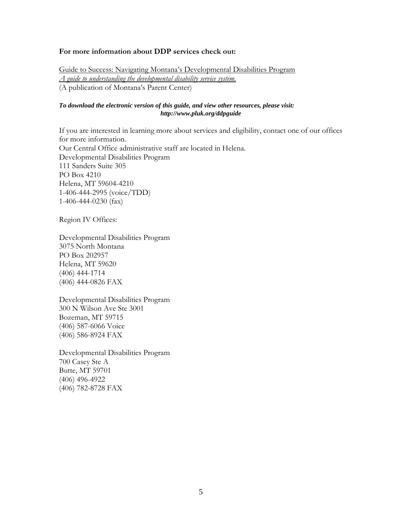#### **For more information about DDP services check out:**

Guide to Success: Navigating Montana's Developmental Disabilities Program *A guide to understanding the developmental disability service system.*  (A publication of Montana's Parent Center)

#### *To download the electronic version of this guide, and view other resources, please visit: http://www.pluk.org/ddpguide*

If you are interested in learning more about services and eligibility, contact one of our offices for more information. Our Central Office administrative staff are located in Helena. Developmental Disabilities Program 111 Sanders Suite 305 PO Box 4210 Helena, MT 59604-4210 1-406-444-2995 (voice/TDD) 1-406-444-0230 (fax)

Region IV Offices:

Developmental Disabilities Program 3075 North Montana PO Box 202957 Helena, MT 59620 (406) 444-1714 (406) 444-0826 FAX

Developmental Disabilities Program 300 N Wilson Ave Ste 3001 Bozeman, MT 59715 (406) 587-6066 Voice (406) 586-8924 FAX

Developmental Disabilities Program 700 Casey Ste A Butte, MT 59701 (406) 496-4922 (406) 782-8728 FAX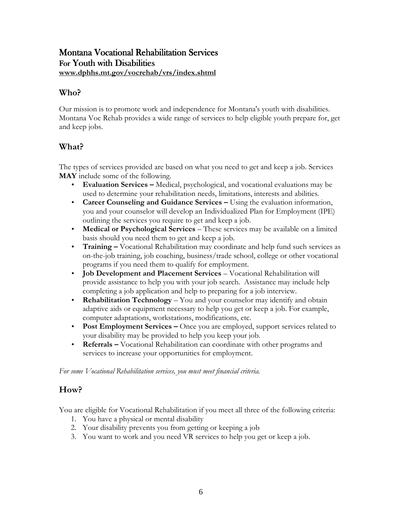# Montana Vocational Rehabilitation Services For Youth with Disabilities **www.dphhs.mt.gov/vocrehab/vrs/index.shtml**

# **Who?**

Our mission is to promote work and independence for Montana's youth with disabilities. Montana Voc Rehab provides a wide range of services to help eligible youth prepare for, get and keep jobs.

# **What?**

The types of services provided are based on what you need to get and keep a job. Services **MAY** include some of the following.

- **Evaluation Services –** Medical, psychological, and vocational evaluations may be used to determine your rehabilitation needs, limitations, interests and abilities.
- **Career Counseling and Guidance Services –** Using the evaluation information, you and your counselor will develop an Individualized Plan for Employment (IPE) outlining the services you require to get and keep a job.
- **Medical or Psychological Services** These services may be available on a limited basis should you need them to get and keep a job.
- **Training** Vocational Rehabilitation may coordinate and help fund such services as on-the-job training, job coaching, business/trade school, college or other vocational programs if you need them to qualify for employment.
- **Job Development and Placement Services** Vocational Rehabilitation will provide assistance to help you with your job search. Assistance may include help completing a job application and help to preparing for a job interview.
- **Rehabilitation Technology** You and your counselor may identify and obtain adaptive aids or equipment necessary to help you get or keep a job. For example, computer adaptations, workstations, modifications, etc.
- **Post Employment Services –** Once you are employed, support services related to your disability may be provided to help you keep your job.
- **Referrals** Vocational Rehabilitation can coordinate with other programs and services to increase your opportunities for employment.

*For some Vocational Rehabilitation services, you must meet financial criteria.*

# **How?**

You are eligible for Vocational Rehabilitation if you meet all three of the following criteria:

- 1. You have a physical or mental disability
- 2. Your disability prevents you from getting or keeping a job
- 3. You want to work and you need VR services to help you get or keep a job.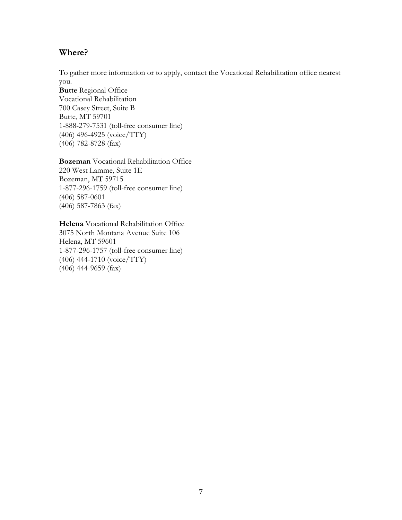# **Where?**

To gather more information or to apply, contact the Vocational Rehabilitation office nearest you.

**Butte** Regional Office Vocational Rehabilitation 700 Casey Street, Suite B Butte, MT 59701 1-888-279-7531 (toll-free consumer line) (406) 496-4925 (voice/TTY) (406) 782-8728 (fax)

**Bozeman** Vocational Rehabilitation Office 220 West Lamme, Suite 1E Bozeman, MT 59715 1-877-296-1759 (toll-free consumer line) (406) 587-0601 (406) 587-7863 (fax)

**Helena** Vocational Rehabilitation Office 3075 North Montana Avenue Suite 106 Helena, MT 59601 1-877-296-1757 (toll-free consumer line) (406) 444-1710 (voice/TTY) (406) 444-9659 (fax)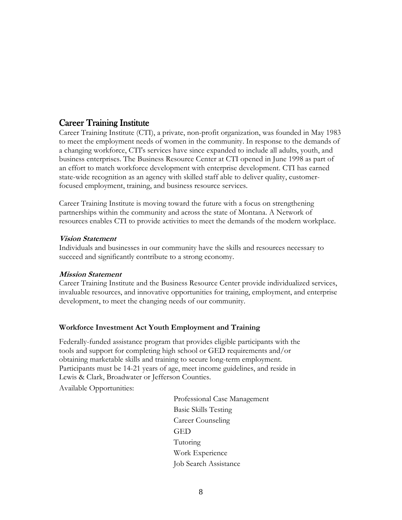# **Career Training Institute**

Career Training Institute (CTI), a private, non-profit organization, was founded in May 1983 to meet the employment needs of women in the community. In response to the demands of a changing workforce, CTI's services have since expanded to include all adults, youth, and business enterprises. The Business Resource Center at CTI opened in June 1998 as part of an effort to match workforce development with enterprise development. CTI has earned state-wide recognition as an agency with skilled staff able to deliver quality, customerfocused employment, training, and business resource services.

Career Training Institute is moving toward the future with a focus on strengthening partnerships within the community and across the state of Montana. A Network of resources enables CTI to provide activities to meet the demands of the modern workplace.

### **Vision Statement**

Individuals and businesses in our community have the skills and resources necessary to succeed and significantly contribute to a strong economy.

### **Mission Statement**

Career Training Institute and the Business Resource Center provide individualized services, invaluable resources, and innovative opportunities for training, employment, and enterprise development, to meet the changing needs of our community.

### **Workforce Investment Act Youth Employment and Training**

Federally-funded assistance program that provides eligible participants with the tools and support for completing high school or GED requirements and/or obtaining marketable skills and training to secure long-term employment. Participants must be 14-21 years of age, meet income guidelines, and reside in Lewis & Clark, Broadwater or Jefferson Counties.

Available Opportunities:

Professional Case Management Basic Skills Testing Career Counseling GED Tutoring Work Experience Job Search Assistance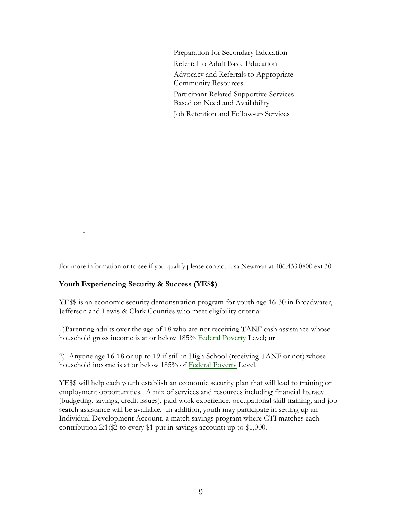Preparation for Secondary Education Referral to Adult Basic Education Advocacy and Referrals to Appropriate Community Resources Participant-Related Supportive Services Based on Need and Availability Job Retention and Follow-up Services

For more information or to see if you qualify please contact Lisa Newman at 406.433.0800 ext 30

#### **Youth Experiencing Security & Success (YE\$\$)**

 $\sim$  -  $\sim$   $-$ 

YE\$\$ is an economic security demonstration program for youth age 16-30 in Broadwater, Jefferson and Lewis & Clark Counties who meet eligibility criteria:

1)Parenting adults over the age of 18 who are not receiving TANF cash assistance whose household gross income is at or below 185% Federal Poverty Level; **or**

2) Anyone age 16-18 or up to 19 if still in High School (receiving TANF or not) whose household income is at or below 185% of Federal Poverty Level.

YE\$\$ will help each youth establish an economic security plan that will lead to training or employment opportunities. A mix of services and resources including financial literacy (budgeting, savings, credit issues), paid work experience, occupational skill training, and job search assistance will be available. In addition, youth may participate in setting up an Individual Development Account, a match savings program where CTI matches each contribution 2:1(\$2 to every \$1 put in savings account) up to \$1,000.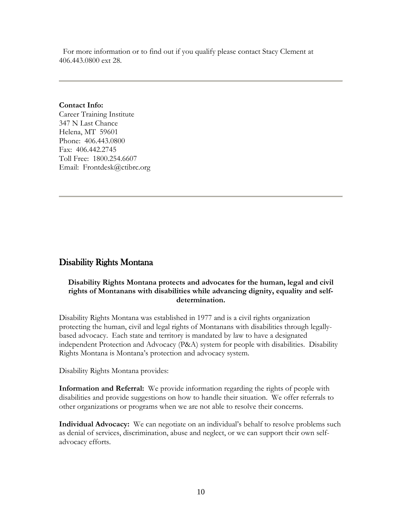For more information or to find out if you qualify please contact Stacy Clement at 406.443.0800 ext 28.

### **Contact Info:**

Career Training Institute 347 N Last Chance Helena, MT 59601 Phone: 406.443.0800 Fax: 406.442.2745 Toll Free: 1800.254.6607 Email: Frontdesk@ctibrc.org

# Disability Rights Montana

### **Disability Rights Montana protects and advocates for the human, legal and civil rights of Montanans with disabilities while advancing dignity, equality and selfdetermination.**

Disability Rights Montana was established in 1977 and is a civil rights organization protecting the human, civil and legal rights of Montanans with disabilities through legallybased advocacy. Each state and territory is mandated by law to have a designated independent Protection and Advocacy (P&A) system for people with disabilities. Disability Rights Montana is Montana's protection and advocacy system.

Disability Rights Montana provides:

**Information and Referral:** We provide information regarding the rights of people with disabilities and provide suggestions on how to handle their situation. We offer referrals to other organizations or programs when we are not able to resolve their concerns.

**Individual Advocacy:** We can negotiate on an individual's behalf to resolve problems such as denial of services, discrimination, abuse and neglect, or we can support their own selfadvocacy efforts.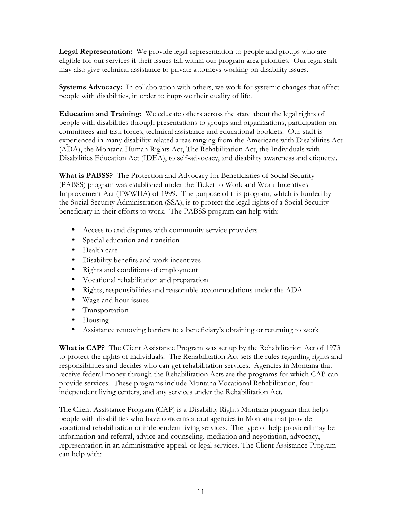**Legal Representation:** We provide legal representation to people and groups who are eligible for our services if their issues fall within our program area priorities. Our legal staff may also give technical assistance to private attorneys working on disability issues.

**Systems Advocacy:** In collaboration with others, we work for systemic changes that affect people with disabilities, in order to improve their quality of life.

**Education and Training:** We educate others across the state about the legal rights of people with disabilities through presentations to groups and organizations, participation on committees and task forces, technical assistance and educational booklets. Our staff is experienced in many disability-related areas ranging from the Americans with Disabilities Act (ADA), the Montana Human Rights Act, The Rehabilitation Act, the Individuals with Disabilities Education Act (IDEA), to self-advocacy, and disability awareness and etiquette.

**What is PABSS?** The Protection and Advocacy for Beneficiaries of Social Security (PABSS) program was established under the Ticket to Work and Work Incentives Improvement Act (TWWIIA) of 1999. The purpose of this program, which is funded by the Social Security Administration (SSA), is to protect the legal rights of a Social Security beneficiary in their efforts to work. The PABSS program can help with:

- Access to and disputes with community service providers
- Special education and transition
- Health care
- Disability benefits and work incentives
- Rights and conditions of employment
- Vocational rehabilitation and preparation
- Rights, responsibilities and reasonable accommodations under the ADA
- Wage and hour issues
- Transportation
- Housing
- Assistance removing barriers to a beneficiary's obtaining or returning to work

**What is CAP?** The Client Assistance Program was set up by the Rehabilitation Act of 1973 to protect the rights of individuals. The Rehabilitation Act sets the rules regarding rights and responsibilities and decides who can get rehabilitation services. Agencies in Montana that receive federal money through the Rehabilitation Acts are the programs for which CAP can provide services. These programs include Montana Vocational Rehabilitation, four independent living centers, and any services under the Rehabilitation Act.

The Client Assistance Program (CAP) is a Disability Rights Montana program that helps people with disabilities who have concerns about agencies in Montana that provide vocational rehabilitation or independent living services. The type of help provided may be information and referral, advice and counseling, mediation and negotiation, advocacy, representation in an administrative appeal, or legal services. The Client Assistance Program can help with: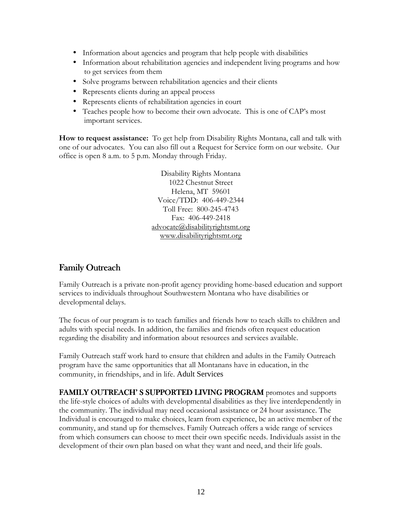- Information about agencies and program that help people with disabilities
- Information about rehabilitation agencies and independent living programs and how to get services from them
- Solve programs between rehabilitation agencies and their clients
- Represents clients during an appeal process
- Represents clients of rehabilitation agencies in court
- Teaches people how to become their own advocate. This is one of CAP's most important services.

**How to request assistance:** To get help from Disability Rights Montana, call and talk with one of our advocates. You can also fill out a Request for Service form on our website. Our office is open 8 a.m. to 5 p.m. Monday through Friday.

> Disability Rights Montana 1022 Chestnut Street Helena, MT 59601 Voice/TDD: 406-449-2344 Toll Free: 800-245-4743 Fax: 406-449-2418 advocate@disabilityrightsmt.org www.disabilityrightsmt.org

# Family Outreach

Family Outreach is a private non-profit agency providing home-based education and support services to individuals throughout Southwestern Montana who have disabilities or developmental delays.

The focus of our program is to teach families and friends how to teach skills to children and adults with special needs. In addition, the families and friends often request education regarding the disability and information about resources and services available.

Family Outreach staff work hard to ensure that children and adults in the Family Outreach program have the same opportunities that all Montanans have in education, in the community, in friendships, and in life. Adult Services

FAMILY OUTREACH' S SUPPORTED LIVING PROGRAM promotes and supports the life-style choices of adults with developmental disabilities as they live interdependently in the community. The individual may need occasional assistance or 24 hour assistance. The Individual is encouraged to make choices, learn from experience, be an active member of the community, and stand up for themselves. Family Outreach offers a wide range of services from which consumers can choose to meet their own specific needs. Individuals assist in the development of their own plan based on what they want and need, and their life goals.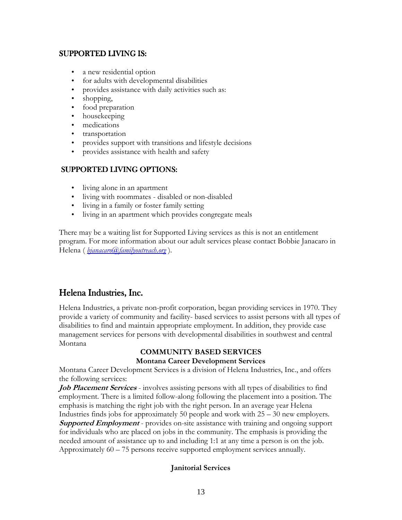### SUPPORTED LIVING IS:

- a new residential option
- for adults with developmental disabilities
- provides assistance with daily activities such as:
- shopping,
- food preparation
- housekeeping
- medications
- transportation
- provides support with transitions and lifestyle decisions
- provides assistance with health and safety

## SUPPORTED LIVING OPTIONS:

- living alone in an apartment
- living with roommates disabled or non-disabled
- living in a family or foster family setting
- living in an apartment which provides congregate meals

There may be a waiting list for Supported Living services as this is not an entitlement program. For more information about our adult services please contact Bobbie Janacaro in Helena ( *bjanacaro@familyoutreach.org* ).

# Helena Industries, Inc.

Helena Industries, a private non-profit corporation, began providing services in 1970. They provide a variety of community and facility- based services to assist persons with all types of disabilities to find and maintain appropriate employment. In addition, they provide case management services for persons with developmental disabilities in southwest and central Montana

## **COMMUNITY BASED SERVICES Montana Career Development Services**

Montana Career Development Services is a division of Helena Industries, Inc., and offers the following services:

*Job Placement Services* - involves assisting persons with all types of disabilities to find employment. There is a limited follow-along following the placement into a position. The emphasis is matching the right job with the right person. In an average year Helena Industries finds jobs for approximately 50 people and work with 25 – 30 new employers. **Supported Employment** - provides on-site assistance with training and ongoing support for individuals who are placed on jobs in the community. The emphasis is providing the needed amount of assistance up to and including 1:1 at any time a person is on the job. Approximately 60 – 75 persons receive supported employment services annually.

## **Janitorial Services**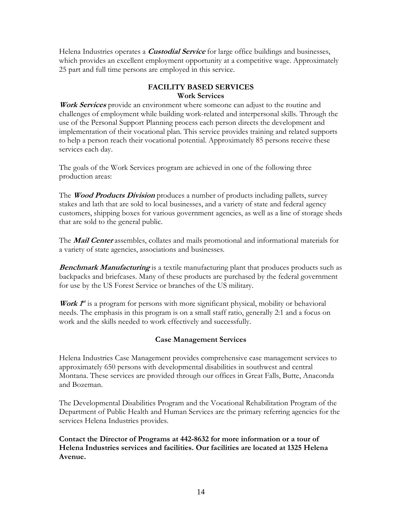Helena Industries operates a **Custodial Service** for large office buildings and businesses, which provides an excellent employment opportunity at a competitive wage. Approximately 25 part and full time persons are employed in this service.

# **FACILITY BASED SERVICES Work Services**

**Work Services** provide an environment where someone can adjust to the routine and challenges of employment while building work-related and interpersonal skills. Through the use of the Personal Support Planning process each person directs the development and implementation of their vocational plan. This service provides training and related supports to help a person reach their vocational potential. Approximately 85 persons receive these services each day.

The goals of the Work Services program are achieved in one of the following three production areas:

The **Wood Products Division** produces a number of products including pallets, survey stakes and lath that are sold to local businesses, and a variety of state and federal agency customers, shipping boxes for various government agencies, as well as a line of storage sheds that are sold to the general public.

The **Mail Center** assembles, collates and mails promotional and informational materials for a variety of state agencies, associations and businesses.

**Benchmark Manufacturing** is a textile manufacturing plant that produces products such as backpacks and briefcases. Many of these products are purchased by the federal government for use by the US Forest Service or branches of the US military.

**Work**  $f^{\prime}$  is a program for persons with more significant physical, mobility or behavioral needs. The emphasis in this program is on a small staff ratio, generally 2:1 and a focus on work and the skills needed to work effectively and successfully.

### **Case Management Services**

Helena Industries Case Management provides comprehensive case management services to approximately 650 persons with developmental disabilities in southwest and central Montana. These services are provided through our offices in Great Falls, Butte, Anaconda and Bozeman.

The Developmental Disabilities Program and the Vocational Rehabilitation Program of the Department of Public Health and Human Services are the primary referring agencies for the services Helena Industries provides.

**Contact the Director of Programs at 442-8632 for more information or a tour of Helena Industries services and facilities. Our facilities are located at 1325 Helena Avenue.**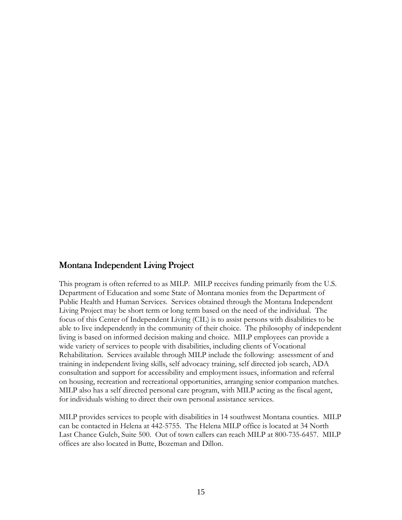## Montana Independent Living Project

This program is often referred to as MILP. MILP receives funding primarily from the U.S. Department of Education and some State of Montana monies from the Department of Public Health and Human Services. Services obtained through the Montana Independent Living Project may be short term or long term based on the need of the individual. The focus of this Center of Independent Living (CIL) is to assist persons with disabilities to be able to live independently in the community of their choice. The philosophy of independent living is based on informed decision making and choice. MILP employees can provide a wide variety of services to people with disabilities, including clients of Vocational Rehabilitation. Services available through MILP include the following: assessment of and training in independent living skills, self advocacy training, self directed job search, ADA consultation and support for accessibility and employment issues, information and referral on housing, recreation and recreational opportunities, arranging senior companion matches. MILP also has a self directed personal care program, with MILP acting as the fiscal agent, for individuals wishing to direct their own personal assistance services.

MILP provides services to people with disabilities in 14 southwest Montana counties. MILP can be contacted in Helena at 442-5755. The Helena MILP office is located at 34 North Last Chance Gulch, Suite 500. Out of town callers can reach MILP at 800-735-6457. MILP offices are also located in Butte, Bozeman and Dillon.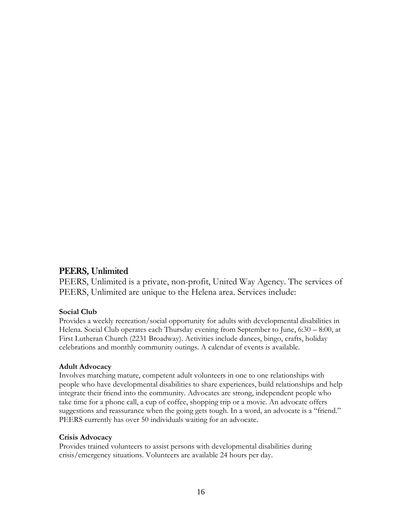# PEERS, Unlimited

PEERS, Unlimited is a private, non-profit, United Way Agency. The services of PEERS, Unlimited are unique to the Helena area. Services include:

### **Social Club**

Provides a weekly recreation/social opportunity for adults with developmental disabilities in Helena. Social Club operates each Thursday evening from September to June, 6:30 – 8:00, at First Lutheran Church (2231 Broadway). Activities include dances, bingo, crafts, holiday celebrations and monthly community outings. A calendar of events is available.

### **Adult Advocacy**

Involves matching mature, competent adult volunteers in one to one relationships with people who have developmental disabilities to share experiences, build relationships and help integrate their friend into the community. Advocates are strong, independent people who take time for a phone call, a cup of coffee, shopping trip or a movie. An advocate offers suggestions and reassurance when the going gets tough. In a word, an advocate is a "friend." PEERS currently has over 50 individuals waiting for an advocate.

### **Crisis Advocacy**

Provides trained volunteers to assist persons with developmental disabilities during crisis/emergency situations. Volunteers are available 24 hours per day.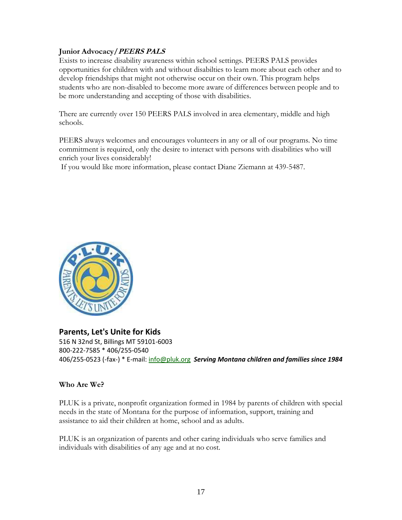### **Junior Advocacy/PEERS PALS**

Exists to increase disability awareness within school settings. PEERS PALS provides opportunities for children with and without disabilties to learn more about each other and to develop friendships that might not otherwise occur on their own. This program helps students who are non-disabled to become more aware of differences between people and to be more understanding and accepting of those with disabilities.

There are currently over 150 PEERS PALS involved in area elementary, middle and high schools.

PEERS always welcomes and encourages volunteers in any or all of our programs. No time commitment is required, only the desire to interact with persons with disabilities who will enrich your lives considerably!

If you would like more information, please contact Diane Ziemann at 439-5487.



## **Parents, Let's Unite for Kids**

516 N 32nd St, Billings MT 59101-6003 800-222-7585 \* 406/255-0540 406/255-0523 (-fax-) \* E-mail: info@pluk.org *Serving Montana children and families since 1984* 

### **Who Are We?**

PLUK is a private, nonprofit organization formed in 1984 by parents of children with special needs in the state of Montana for the purpose of information, support, training and assistance to aid their children at home, school and as adults.

PLUK is an organization of parents and other caring individuals who serve families and individuals with disabilities of any age and at no cost.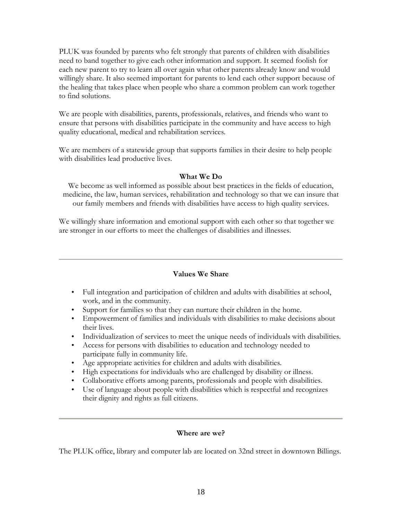PLUK was founded by parents who felt strongly that parents of children with disabilities need to band together to give each other information and support. It seemed foolish for each new parent to try to learn all over again what other parents already know and would willingly share. It also seemed important for parents to lend each other support because of the healing that takes place when people who share a common problem can work together to find solutions.

We are people with disabilities, parents, professionals, relatives, and friends who want to ensure that persons with disabilities participate in the community and have access to high quality educational, medical and rehabilitation services.

We are members of a statewide group that supports families in their desire to help people with disabilities lead productive lives.

### **What We Do**

We become as well informed as possible about best practices in the fields of education, medicine, the law, human services, rehabilitation and technology so that we can insure that our family members and friends with disabilities have access to high quality services.

We willingly share information and emotional support with each other so that together we are stronger in our efforts to meet the challenges of disabilities and illnesses.

### **Values We Share**

- Full integration and participation of children and adults with disabilities at school, work, and in the community.
- Support for families so that they can nurture their children in the home.
- Empowerment of families and individuals with disabilities to make decisions about their lives.
- Individualization of services to meet the unique needs of individuals with disabilities.
- Access for persons with disabilities to education and technology needed to participate fully in community life.
- Age appropriate activities for children and adults with disabilities.
- High expectations for individuals who are challenged by disability or illness.
- Collaborative efforts among parents, professionals and people with disabilities.
- Use of language about people with disabilities which is respectful and recognizes their dignity and rights as full citizens.

### **Where are we?**

The PLUK office, library and computer lab are located on 32nd street in downtown Billings.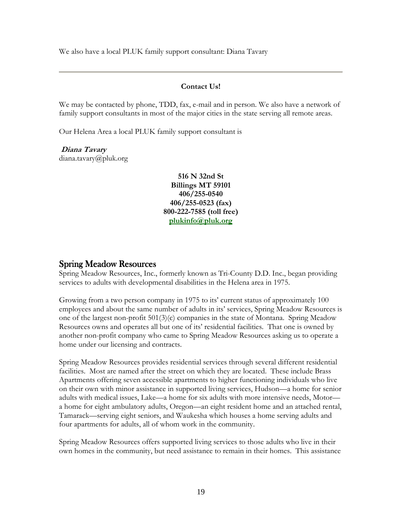We also have a local PLUK family support consultant: Diana Tavary

### **Contact Us!**

We may be contacted by phone, TDD, fax, e-mail and in person. We also have a network of family support consultants in most of the major cities in the state serving all remote areas.

Our Helena Area a local PLUK family support consultant is

 **Diana Tavary**  diana.tavary@pluk.org

> **516 N 32nd St Billings MT 59101 406/255-0540 406/255-0523 (fax) 800-222-7585 (toll free) plukinfo@pluk.org**

## **Spring Meadow Resources**

Spring Meadow Resources, Inc., formerly known as Tri-County D.D. Inc., began providing services to adults with developmental disabilities in the Helena area in 1975.

Growing from a two person company in 1975 to its' current status of approximately 100 employees and about the same number of adults in its' services, Spring Meadow Resources is one of the largest non-profit 501(3)(c) companies in the state of Montana. Spring Meadow Resources owns and operates all but one of its' residential facilities. That one is owned by another non-profit company who came to Spring Meadow Resources asking us to operate a home under our licensing and contracts.

Spring Meadow Resources provides residential services through several different residential facilities. Most are named after the street on which they are located. These include Brass Apartments offering seven accessible apartments to higher functioning individuals who live on their own with minor assistance in supported living services, Hudson—a home for senior adults with medical issues, Lake—a home for six adults with more intensive needs, Motor a home for eight ambulatory adults, Oregon—an eight resident home and an attached rental, Tamarack—serving eight seniors, and Waukesha which houses a home serving adults and four apartments for adults, all of whom work in the community.

Spring Meadow Resources offers supported living services to those adults who live in their own homes in the community, but need assistance to remain in their homes. This assistance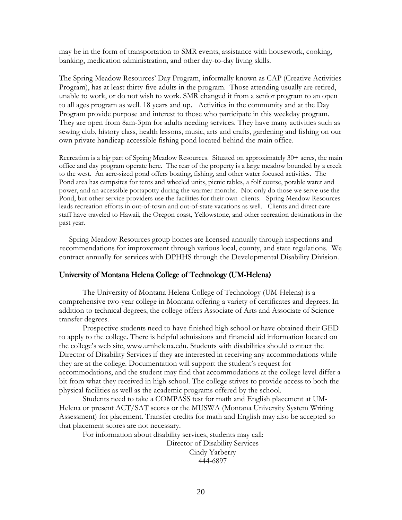may be in the form of transportation to SMR events, assistance with housework, cooking, banking, medication administration, and other day-to-day living skills.

The Spring Meadow Resources' Day Program, informally known as CAP (Creative Activities Program), has at least thirty-five adults in the program. Those attending usually are retired, unable to work, or do not wish to work. SMR changed it from a senior program to an open to all ages program as well. 18 years and up. Activities in the community and at the Day Program provide purpose and interest to those who participate in this weekday program. They are open from 8am-3pm for adults needing services. They have many activities such as sewing club, history class, health lessons, music, arts and crafts, gardening and fishing on our own private handicap accessible fishing pond located behind the main office.

Recreation is a big part of Spring Meadow Resources. Situated on approximately 30+ acres, the main office and day program operate here. The rear of the property is a large meadow bounded by a creek to the west. An acre-sized pond offers boating, fishing, and other water focused activities. The Pond area has campsites for tents and wheeled units, picnic tables, a folf course, potable water and power, and an accessible portapotty during the warmer months. Not only do those we serve use the Pond, but other service providers use the facilities for their own clients. Spring Meadow Resources leads recreation efforts in out-of-town and out-of-state vacations as well. Clients and direct care staff have traveled to Hawaii, the Oregon coast, Yellowstone, and other recreation destinations in the past year.

Spring Meadow Resources group homes are licensed annually through inspections and recommendations for improvement through various local, county, and state regulations. We contract annually for services with DPHHS through the Developmental Disability Division.

#### University of Montana Helena College of Technology (UM-Helena)

The University of Montana Helena College of Technology (UM-Helena) is a comprehensive two-year college in Montana offering a variety of certificates and degrees. In addition to technical degrees, the college offers Associate of Arts and Associate of Science transfer degrees.

Prospective students need to have finished high school or have obtained their GED to apply to the college. There is helpful admissions and financial aid information located on the college's web site, www.umhelena.edu. Students with disabilities should contact the Director of Disability Services if they are interested in receiving any accommodations while they are at the college. Documentation will support the student's request for accommodations, and the student may find that accommodations at the college level differ a bit from what they received in high school. The college strives to provide access to both the physical facilities as well as the academic programs offered by the school.

Students need to take a COMPASS test for math and English placement at UM-Helena or present ACT/SAT scores or the MUSWA (Montana University System Writing Assessment) for placement. Transfer credits for math and English may also be accepted so that placement scores are not necessary.

For information about disability services, students may call: Director of Disability Services Cindy Yarberry 444-6897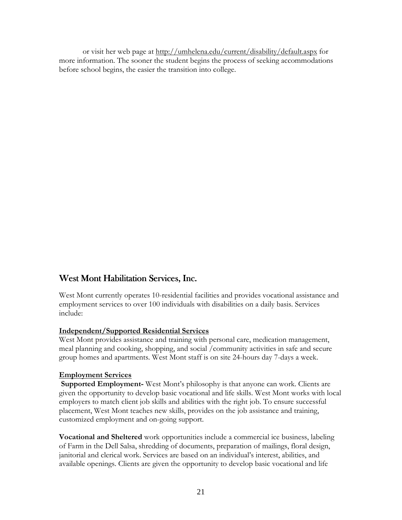or visit her web page at http://umhelena.edu/current/disability/default.aspx for more information. The sooner the student begins the process of seeking accommodations before school begins, the easier the transition into college.

# West Mont Habilitation Services, Inc.

West Mont currently operates 10-residential facilities and provides vocational assistance and employment services to over 100 individuals with disabilities on a daily basis. Services include:

### **Independent/Supported Residential Services**

West Mont provides assistance and training with personal care, medication management, meal planning and cooking, shopping, and social /community activities in safe and secure group homes and apartments. West Mont staff is on site 24-hours day 7-days a week.

### **Employment Services**

**Supported Employment-** West Mont's philosophy is that anyone can work. Clients are given the opportunity to develop basic vocational and life skills. West Mont works with local employers to match client job skills and abilities with the right job. To ensure successful placement, West Mont teaches new skills, provides on the job assistance and training, customized employment and on-going support.

**Vocational and Sheltered** work opportunities include a commercial ice business, labeling of Farm in the Dell Salsa, shredding of documents, preparation of mailings, floral design, janitorial and clerical work. Services are based on an individual's interest, abilities, and available openings. Clients are given the opportunity to develop basic vocational and life